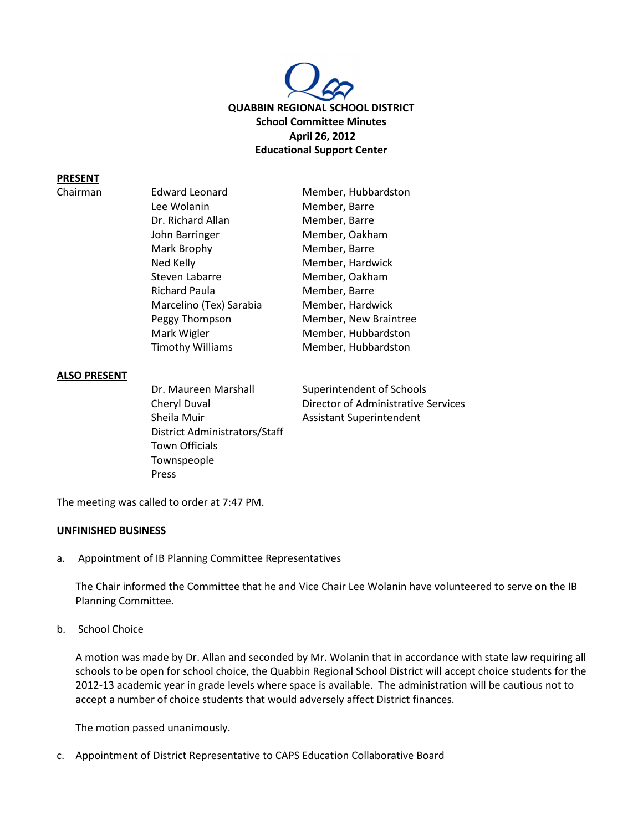

#### **PRESENT**

Chairman

| <b>Edward Leonard</b>   | Member, Hubbardston   |
|-------------------------|-----------------------|
| Lee Wolanin             | Member, Barre         |
| Dr. Richard Allan       | Member, Barre         |
| John Barringer          | Member, Oakham        |
| Mark Brophy             | Member, Barre         |
| Ned Kelly               | Member, Hardwick      |
| Steven Labarre          | Member, Oakham        |
| <b>Richard Paula</b>    | Member, Barre         |
| Marcelino (Tex) Sarabia | Member, Hardwick      |
| Peggy Thompson          | Member, New Braintree |
| Mark Wigler             | Member, Hubbardston   |
| <b>Timothy Williams</b> | Member, Hubbardston   |

#### **ALSO PRESENT**

Sheila Muir **Assistant Superintendent** District Administrators/Staff Town Officials Townspeople Press

Dr. Maureen Marshall Superintendent of Schools Cheryl Duval **Director of Administrative Services** 

The meeting was called to order at 7:47 PM.

#### **UNFINISHED BUSINESS**

a. Appointment of IB Planning Committee Representatives

The Chair informed the Committee that he and Vice Chair Lee Wolanin have volunteered to serve on the IB Planning Committee.

b. School Choice

A motion was made by Dr. Allan and seconded by Mr. Wolanin that in accordance with state law requiring all schools to be open for school choice, the Quabbin Regional School District will accept choice students for the 2012-13 academic year in grade levels where space is available. The administration will be cautious not to accept a number of choice students that would adversely affect District finances.

The motion passed unanimously.

c. Appointment of District Representative to CAPS Education Collaborative Board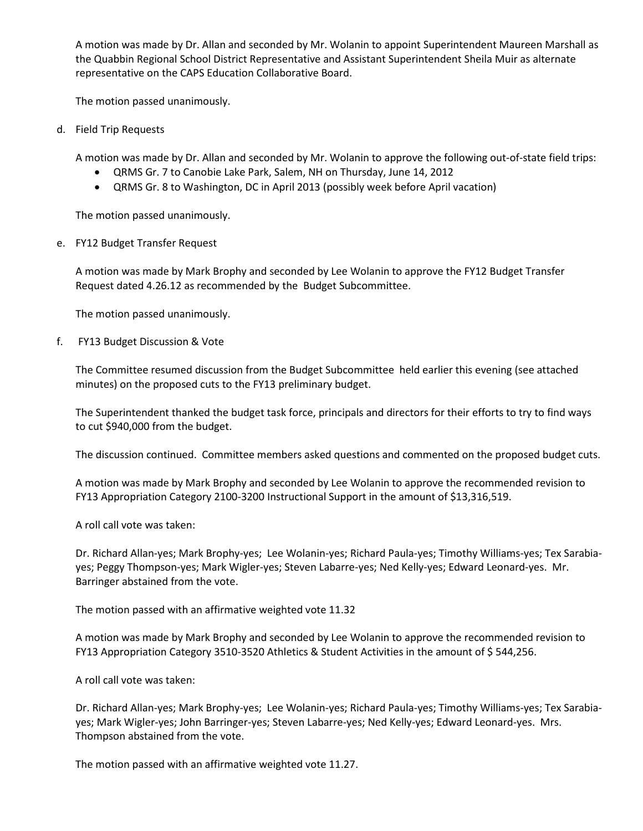A motion was made by Dr. Allan and seconded by Mr. Wolanin to appoint Superintendent Maureen Marshall as the Quabbin Regional School District Representative and Assistant Superintendent Sheila Muir as alternate representative on the CAPS Education Collaborative Board.

The motion passed unanimously.

d. Field Trip Requests

A motion was made by Dr. Allan and seconded by Mr. Wolanin to approve the following out-of-state field trips:

- QRMS Gr. 7 to Canobie Lake Park, Salem, NH on Thursday, June 14, 2012
- QRMS Gr. 8 to Washington, DC in April 2013 (possibly week before April vacation)

The motion passed unanimously.

e. FY12 Budget Transfer Request

A motion was made by Mark Brophy and seconded by Lee Wolanin to approve the FY12 Budget Transfer Request dated 4.26.12 as recommended by the Budget Subcommittee.

The motion passed unanimously.

f. FY13 Budget Discussion & Vote

The Committee resumed discussion from the Budget Subcommittee held earlier this evening (see attached minutes) on the proposed cuts to the FY13 preliminary budget.

The Superintendent thanked the budget task force, principals and directors for their efforts to try to find ways to cut \$940,000 from the budget.

The discussion continued. Committee members asked questions and commented on the proposed budget cuts.

A motion was made by Mark Brophy and seconded by Lee Wolanin to approve the recommended revision to FY13 Appropriation Category 2100-3200 Instructional Support in the amount of \$13,316,519.

A roll call vote was taken:

Dr. Richard Allan-yes; Mark Brophy-yes; Lee Wolanin-yes; Richard Paula-yes; Timothy Williams-yes; Tex Sarabiayes; Peggy Thompson-yes; Mark Wigler-yes; Steven Labarre-yes; Ned Kelly-yes; Edward Leonard-yes. Mr. Barringer abstained from the vote.

The motion passed with an affirmative weighted vote 11.32

A motion was made by Mark Brophy and seconded by Lee Wolanin to approve the recommended revision to FY13 Appropriation Category 3510-3520 Athletics & Student Activities in the amount of \$544,256.

A roll call vote was taken:

Dr. Richard Allan-yes; Mark Brophy-yes; Lee Wolanin-yes; Richard Paula-yes; Timothy Williams-yes; Tex Sarabiayes; Mark Wigler-yes; John Barringer-yes; Steven Labarre-yes; Ned Kelly-yes; Edward Leonard-yes. Mrs. Thompson abstained from the vote.

The motion passed with an affirmative weighted vote 11.27.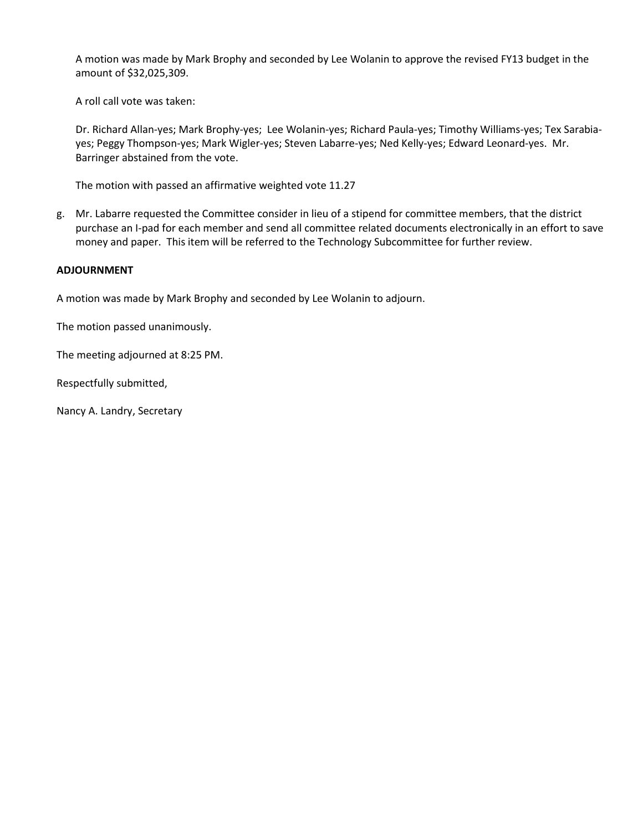A motion was made by Mark Brophy and seconded by Lee Wolanin to approve the revised FY13 budget in the amount of \$32,025,309.

A roll call vote was taken:

Dr. Richard Allan-yes; Mark Brophy-yes; Lee Wolanin-yes; Richard Paula-yes; Timothy Williams-yes; Tex Sarabiayes; Peggy Thompson-yes; Mark Wigler-yes; Steven Labarre-yes; Ned Kelly-yes; Edward Leonard-yes. Mr. Barringer abstained from the vote.

The motion with passed an affirmative weighted vote 11.27

g. Mr. Labarre requested the Committee consider in lieu of a stipend for committee members, that the district purchase an I-pad for each member and send all committee related documents electronically in an effort to save money and paper. This item will be referred to the Technology Subcommittee for further review.

# **ADJOURNMENT**

A motion was made by Mark Brophy and seconded by Lee Wolanin to adjourn.

The motion passed unanimously.

The meeting adjourned at 8:25 PM.

Respectfully submitted,

Nancy A. Landry, Secretary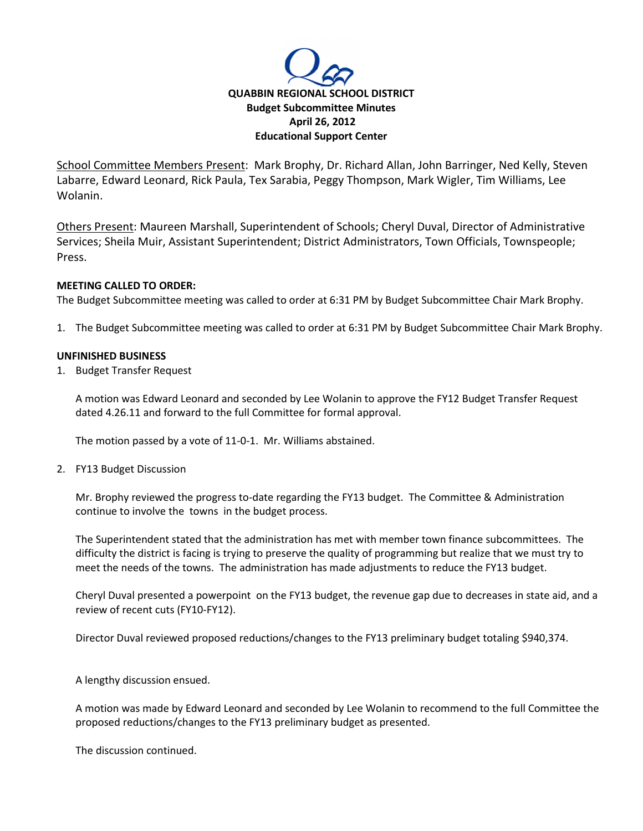

School Committee Members Present: Mark Brophy, Dr. Richard Allan, John Barringer, Ned Kelly, Steven Labarre, Edward Leonard, Rick Paula, Tex Sarabia, Peggy Thompson, Mark Wigler, Tim Williams, Lee Wolanin.

Others Present: Maureen Marshall, Superintendent of Schools; Cheryl Duval, Director of Administrative Services; Sheila Muir, Assistant Superintendent; District Administrators, Town Officials, Townspeople; Press.

# **MEETING CALLED TO ORDER:**

The Budget Subcommittee meeting was called to order at 6:31 PM by Budget Subcommittee Chair Mark Brophy.

1. The Budget Subcommittee meeting was called to order at 6:31 PM by Budget Subcommittee Chair Mark Brophy.

# **UNFINISHED BUSINESS**

1. Budget Transfer Request

A motion was Edward Leonard and seconded by Lee Wolanin to approve the FY12 Budget Transfer Request dated 4.26.11 and forward to the full Committee for formal approval.

The motion passed by a vote of 11-0-1. Mr. Williams abstained.

2. FY13 Budget Discussion

Mr. Brophy reviewed the progress to-date regarding the FY13 budget. The Committee & Administration continue to involve the towns in the budget process.

The Superintendent stated that the administration has met with member town finance subcommittees. The difficulty the district is facing is trying to preserve the quality of programming but realize that we must try to meet the needs of the towns. The administration has made adjustments to reduce the FY13 budget.

Cheryl Duval presented a powerpoint on the FY13 budget, the revenue gap due to decreases in state aid, and a review of recent cuts (FY10-FY12).

Director Duval reviewed proposed reductions/changes to the FY13 preliminary budget totaling \$940,374.

A lengthy discussion ensued.

A motion was made by Edward Leonard and seconded by Lee Wolanin to recommend to the full Committee the proposed reductions/changes to the FY13 preliminary budget as presented.

The discussion continued.